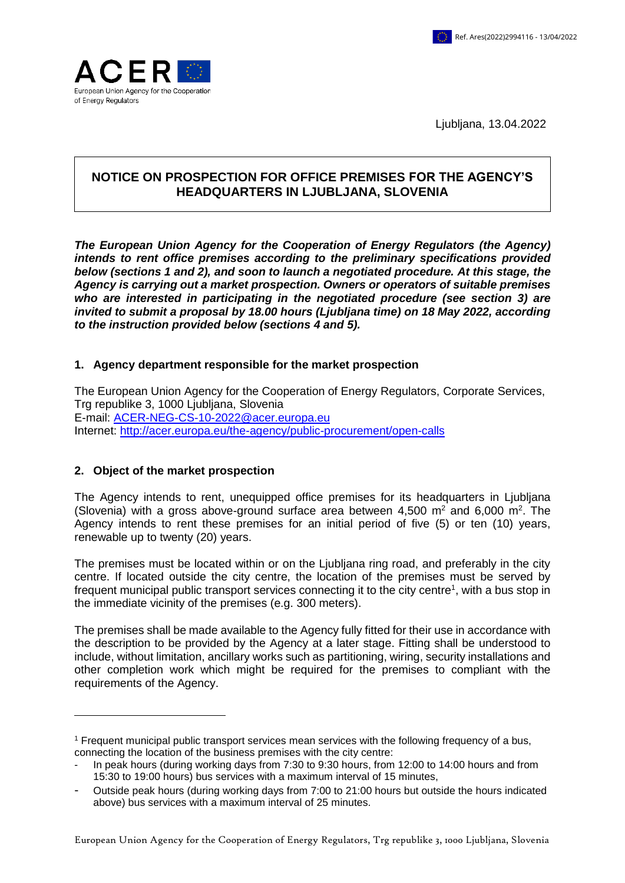

Ljubljana, 13.04.2022

# **NOTICE ON PROSPECTION FOR OFFICE PREMISES FOR THE AGENCY'S HEADQUARTERS IN LJUBLJANA, SLOVENIA**

*The European Union Agency for the Cooperation of Energy Regulators (the Agency) intends to rent office premises according to the preliminary specifications provided below (sections 1 and 2), and soon to launch a negotiated procedure. At this stage, the Agency is carrying out a market prospection. Owners or operators of suitable premises who are interested in participating in the negotiated procedure (see section 3) are invited to submit a proposal by 18.00 hours (Ljubljana time) on 18 May 2022, according to the instruction provided below (sections 4 and 5).*

### **1. Agency department responsible for the market prospection**

The European Union Agency for the Cooperation of Energy Regulators, Corporate Services, Trg republike 3, 1000 Ljubljana, Slovenia E-mail: [ACER-NEG-CS-10-2022@acer.europa.eu](mailto:ACER-NEG-CS-10-2022@acer.europa.eu) Internet: <http://acer.europa.eu/the-agency/public-procurement/open-calls>

### **2. Object of the market prospection**

 $\overline{a}$ 

The Agency intends to rent, unequipped office premises for its headquarters in Ljubljana (Slovenia) with a gross above-ground surface area between  $4,500 \text{ m}^2$  and  $6,000 \text{ m}^2$ . The Agency intends to rent these premises for an initial period of five (5) or ten (10) years, renewable up to twenty (20) years.

The premises must be located within or on the Ljubljana ring road, and preferably in the city centre. If located outside the city centre, the location of the premises must be served by frequent municipal public transport services connecting it to the city centre<sup>1</sup>, with a bus stop in the immediate vicinity of the premises (e.g. 300 meters).

The premises shall be made available to the Agency fully fitted for their use in accordance with the description to be provided by the Agency at a later stage. Fitting shall be understood to include, without limitation, ancillary works such as partitioning, wiring, security installations and other completion work which might be required for the premises to compliant with the requirements of the Agency.

<sup>1</sup> Frequent municipal public transport services mean services with the following frequency of a bus, connecting the location of the business premises with the city centre:

<sup>-</sup> In peak hours (during working days from 7:30 to 9:30 hours, from 12:00 to 14:00 hours and from 15:30 to 19:00 hours) bus services with a maximum interval of 15 minutes,

<sup>-</sup> Outside peak hours (during working days from 7:00 to 21:00 hours but outside the hours indicated above) bus services with a maximum interval of 25 minutes.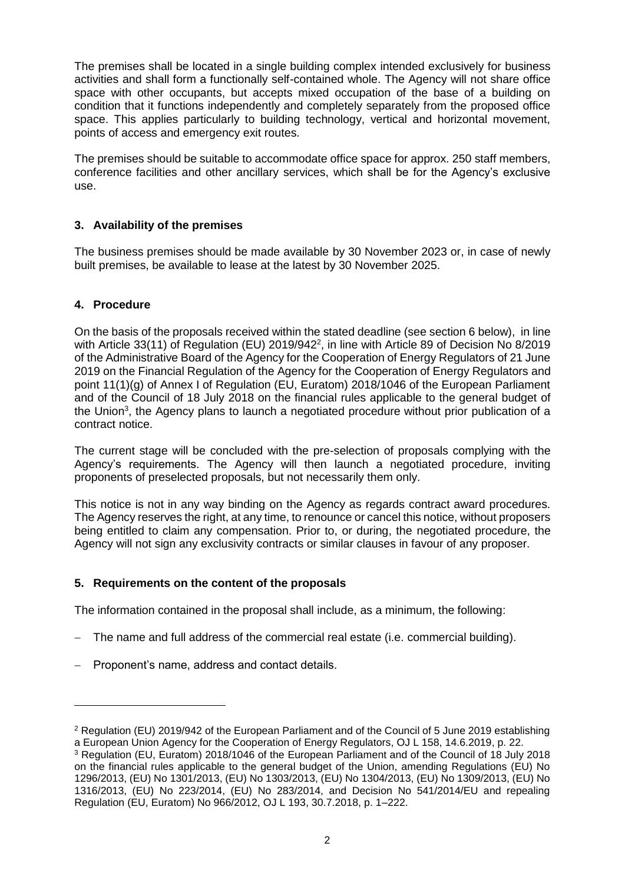The premises shall be located in a single building complex intended exclusively for business activities and shall form a functionally self-contained whole. The Agency will not share office space with other occupants, but accepts mixed occupation of the base of a building on condition that it functions independently and completely separately from the proposed office space. This applies particularly to building technology, vertical and horizontal movement, points of access and emergency exit routes.

The premises should be suitable to accommodate office space for approx. 250 staff members, conference facilities and other ancillary services, which shall be for the Agency's exclusive use.

# **3. Availability of the premises**

The business premises should be made available by 30 November 2023 or, in case of newly built premises, be available to lease at the latest by 30 November 2025.

### **4. Procedure**

 $\overline{a}$ 

On the basis of the proposals received within the stated deadline (see section 6 below), in line with Article 33(11) of Regulation (EU) 2019/942<sup>2</sup>, in line with Article 89 of Decision No 8/2019 of the Administrative Board of the Agency for the Cooperation of Energy Regulators of 21 June 2019 on the Financial Regulation of the Agency for the Cooperation of Energy Regulators and point 11(1)(g) of Annex I of Regulation (EU, Euratom) 2018/1046 of the European Parliament and of the Council of 18 July 2018 on the financial rules applicable to the general budget of the Union<sup>3</sup>, the Agency plans to launch a negotiated procedure without prior publication of a contract notice.

The current stage will be concluded with the pre-selection of proposals complying with the Agency's requirements. The Agency will then launch a negotiated procedure, inviting proponents of preselected proposals, but not necessarily them only.

This notice is not in any way binding on the Agency as regards contract award procedures. The Agency reserves the right, at any time, to renounce or cancel this notice, without proposers being entitled to claim any compensation. Prior to, or during, the negotiated procedure, the Agency will not sign any exclusivity contracts or similar clauses in favour of any proposer.

### **5. Requirements on the content of the proposals**

The information contained in the proposal shall include, as a minimum, the following:

- The name and full address of the commercial real estate (i.e. commercial building).
- Proponent's name, address and contact details.

<sup>2</sup> Regulation (EU) 2019/942 of the European Parliament and of the Council of 5 June 2019 establishing a European Union Agency for the Cooperation of Energy Regulators, OJ L 158, 14.6.2019, p. 22.

<sup>3</sup> Regulation (EU, Euratom) 2018/1046 of the European Parliament and of the Council of 18 July 2018 on the financial rules applicable to the general budget of the Union, amending Regulations (EU) No 1296/2013, (EU) No 1301/2013, (EU) No 1303/2013, (EU) No 1304/2013, (EU) No 1309/2013, (EU) No 1316/2013, (EU) No 223/2014, (EU) No 283/2014, and Decision No 541/2014/EU and repealing Regulation (EU, Euratom) No 966/2012, OJ L 193, 30.7.2018, p. 1–222.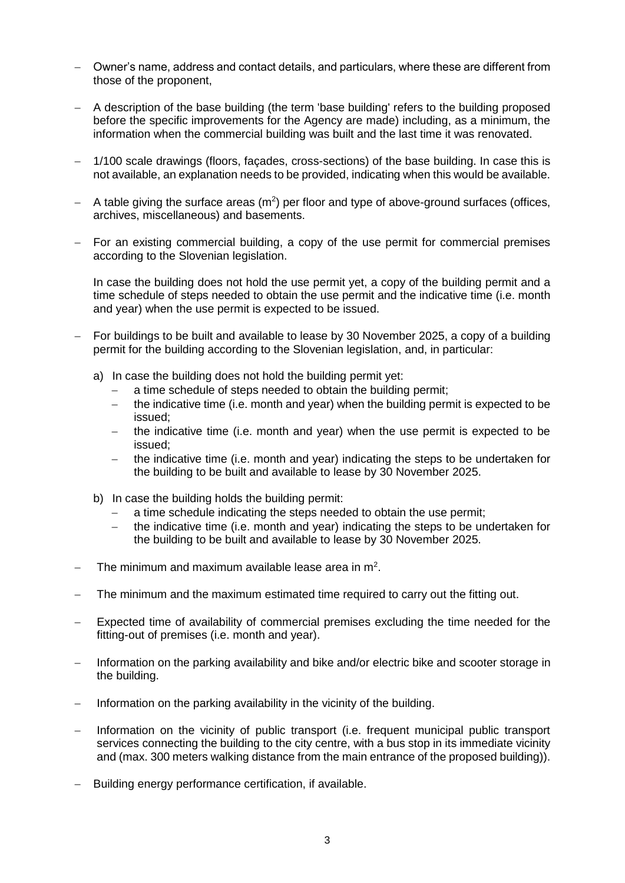- Owner's name, address and contact details, and particulars, where these are different from those of the proponent,
- A description of the base building (the term 'base building' refers to the building proposed before the specific improvements for the Agency are made) including, as a minimum, the information when the commercial building was built and the last time it was renovated.
- 1/100 scale drawings (floors, façades, cross-sections) of the base building. In case this is not available, an explanation needs to be provided, indicating when this would be available.
- $-$  A table giving the surface areas ( $m<sup>2</sup>$ ) per floor and type of above-ground surfaces (offices, archives, miscellaneous) and basements.
- For an existing commercial building, a copy of the use permit for commercial premises according to the Slovenian legislation.

In case the building does not hold the use permit yet, a copy of the building permit and a time schedule of steps needed to obtain the use permit and the indicative time (i.e. month and year) when the use permit is expected to be issued.

- For buildings to be built and available to lease by 30 November 2025, a copy of a building permit for the building according to the Slovenian legislation, and, in particular:
	- a) In case the building does not hold the building permit yet:
		- a time schedule of steps needed to obtain the building permit;
		- $-$  the indicative time (i.e. month and year) when the building permit is expected to be issued;
		- $-$  the indicative time (i.e. month and year) when the use permit is expected to be issued;
		- the indicative time (i.e. month and year) indicating the steps to be undertaken for the building to be built and available to lease by 30 November 2025.
	- b) In case the building holds the building permit:
		- a time schedule indicating the steps needed to obtain the use permit;
		- the indicative time (i.e. month and year) indicating the steps to be undertaken for the building to be built and available to lease by 30 November 2025.
- $-$  The minimum and maximum available lease area in m<sup>2</sup>.
- The minimum and the maximum estimated time required to carry out the fitting out.
- Expected time of availability of commercial premises excluding the time needed for the fitting-out of premises (i.e. month and year).
- Information on the parking availability and bike and/or electric bike and scooter storage in the building.
- Information on the parking availability in the vicinity of the building.
- Information on the vicinity of public transport (i.e. frequent municipal public transport services connecting the building to the city centre, with a bus stop in its immediate vicinity and (max. 300 meters walking distance from the main entrance of the proposed building)).
- Building energy performance certification, if available.